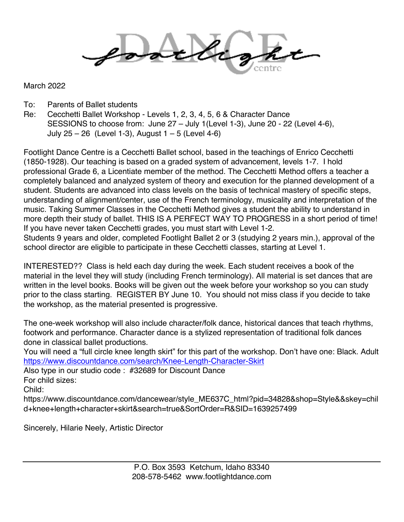March 2022

- To: Parents of Ballet students
- Re: Cecchetti Ballet Workshop Levels 1, 2, 3, 4, 5, 6 & Character Dance SESSIONS to choose from: June 27 – July 1(Level 1-3), June 20 - 22 (Level 4-6), July 25 – 26 (Level 1-3), August 1 – 5 (Level 4-6)

Footlight Dance Centre is a Cecchetti Ballet school, based in the teachings of Enrico Cecchetti (1850-1928). Our teaching is based on a graded system of advancement, levels 1-7. I hold professional Grade 6, a Licentiate member of the method. The Cecchetti Method offers a teacher a completely balanced and analyzed system of theory and execution for the planned development of a student. Students are advanced into class levels on the basis of technical mastery of specific steps, understanding of alignment/center, use of the French terminology, musicality and interpretation of the music. Taking Summer Classes in the Cecchetti Method gives a student the ability to understand in more depth their study of ballet. THIS IS A PERFECT WAY TO PROGRESS in a short period of time! If you have never taken Cecchetti grades, you must start with Level 1-2.

Students 9 years and older, completed Footlight Ballet 2 or 3 (studying 2 years min.), approval of the school director are eligible to participate in these Cecchetti classes, starting at Level 1.

INTERESTED?? Class is held each day during the week. Each student receives a book of the material in the level they will study (including French terminology). All material is set dances that are written in the level books. Books will be given out the week before your workshop so you can study prior to the class starting. REGISTER BY June 10. You should not miss class if you decide to take the workshop, as the material presented is progressive.

The one-week workshop will also include character/folk dance, historical dances that teach rhythms, footwork and performance. Character dance is a stylized representation of traditional folk dances done in classical ballet productions.

You will need a "full circle knee length skirt" for this part of the workshop. Don't have one: Black. Adult https://www.discountdance.com/search/Knee-Length-Character-Skirt

Also type in our studio code : #32689 for Discount Dance

For child sizes:

Child:

https://www.discountdance.com/dancewear/style\_ME637C\_html?pid=34828&shop=Style&&skey=chil d+knee+length+character+skirt&search=true&SortOrder=R&SID=1639257499

Sincerely, Hilarie Neely, Artistic Director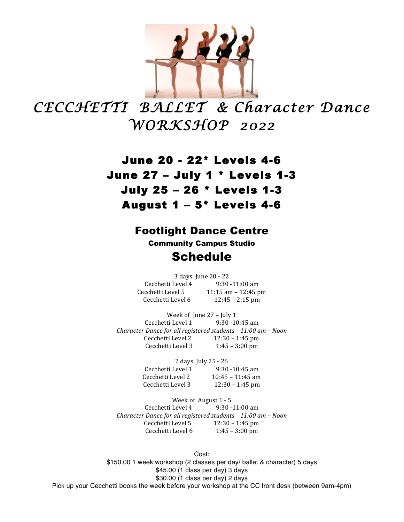

*CECCHETTI BALLET & Character Dance WORKSHOP 2022* 

> June 20 - 22\* Levels 4-6 June 27 – July 1 \* Levels 1-3 July 25 – 26 \* Levels 1-3 August 1 – 5\* Levels 4-6

## Footlight Dance Centre

Community Campus Studio

## Schedule

3 days June 20 - 22 Cecchetti Level  $4$  9:30 -11:00 am Cecchetti Level  $5 \qquad 11:15$  am  $- 12:45$  pm Cecchetti Level  $6$  12:45 – 2:15 pm

Week of June 27 - July 1 Cecchetti Level  $1$  9:30 -10:45 am *Character Dance for all registered students 11:00 am – Noon* Cecchetti Level  $2 \t 12:30 - 1:45$  pm Cecchetti Level  $3 \t1:45 - 3:00$  pm

> 2 days July 25 - 26 Cecchetti Level 1 9:30 -10:45 am Cecchetti Level  $2 \t\t 10:45 - 11:45$  am Cecchetti Level 3  $12:30 - 1:45$  pm

Week of August 1 - 5 Cecchetti Level  $4$  9:30 -11:00 am *Character Dance for all registered students 11:00 am – Noon* Cecchetti Level 5  $12:30 - 1:45$  pm Cecchetti Level  $6$  1:45 – 3:00 pm

Cost: \$150.00 1 week workshop (2 classes per day/ ballet & character) 5 days \$45.00 (1 class per day) 3 days \$30.00 (1 class per day) 2 days Pick up your Cecchetti books the week before your workshop at the CC front desk (between 9am-4pm)